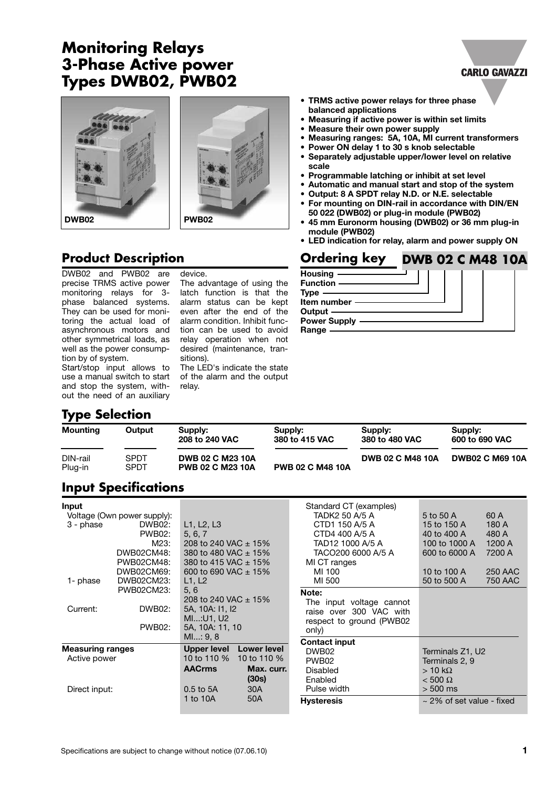# **Monitoring Relays 3-Phase Active power Types DWB02, PWB02**



### **Product Description**

DWB02 and PWB02 are precise TRMS active power monitoring relays for 3 phase balanced systems. They can be used for monitoring the actual load of asynchronous motors and other symmetrical loads, as well as the power consumption by of system.

Start/stop input allows to use a manual switch to start and stop the system, without the need of an auxiliary

## **Type Selection**

The advantage of using the latch function is that the alarm status can be kept even after the end of the alarm condition. Inhibit function can be used to avoid relay operation when not desired (maintenance, transitions).

device.

The LED's indicate the state of the alarm and the output relay.

|                     | TYPY SYLVIION              |                                                    |                           |                           |                           |
|---------------------|----------------------------|----------------------------------------------------|---------------------------|---------------------------|---------------------------|
| Mounting            | Output                     | Supply:<br>208 to 240 VAC                          | Supply:<br>380 to 415 VAC | Supply:<br>380 to 480 VAC | Supply:<br>600 to 690 VAC |
| DIN-rail<br>Plug-in | <b>SPDT</b><br><b>SPDT</b> | <b>DWB 02 C M23 10A</b><br><b>PWB 02 C M23 10A</b> | <b>PWB 02 C M48 10A</b>   | <b>DWB 02 C M48 10A</b>   | <b>DWB02 C M69 10A</b>    |
|                     | $\sim$ $\sim$              |                                                    |                           |                           |                           |

# **Input Specifications**

| Input<br>Voltage (Own power supply):<br>3 - phase<br>DWB02CM48:<br>PWB02CM48:<br>DWB02CM69:<br>DWB02CM23:<br>1- phase<br>PWB02CM23:<br>Current: | DWB02:<br>L1, L2, L3<br><b>PWB02:</b><br>5, 6, 7<br>M23:<br>L1, L2<br>5, 6<br>DWB02:<br>5A, 10A: I1, I2<br>MI: U1, U2<br><b>PWB02:</b><br>5A, 10A: 11, 10 | 208 to 240 VAC $\pm$ 15%<br>380 to 480 VAC ± 15%<br>380 to 415 VAC ± 15%<br>600 to 690 VAC $\pm$ 15%<br>208 to 240 VAC $\pm$ 15% | Standard CT (examples)<br>TADK2 50 A/5 A<br>CTD1 150 A/5 A<br>CTD4 400 A/5 A<br>TAD12 1000 A/5 A<br>TACO200 6000 A/5 A<br>MI CT ranges<br>MI 100<br>MI 500<br>Note:<br>The input voltage cannot<br>raise over 300 VAC with<br>respect to ground (PWB02<br>only) | 5 to 50 A<br>15 to 150 A<br>40 to 400 A<br>100 to 1000 A<br>600 to 6000 A<br>10 to 100 A<br>50 to 500 A | 60 A<br>180 A<br>480 A<br>1200 A<br>7200 A<br><b>250 AAC</b><br>750 AAC |
|-------------------------------------------------------------------------------------------------------------------------------------------------|-----------------------------------------------------------------------------------------------------------------------------------------------------------|----------------------------------------------------------------------------------------------------------------------------------|-----------------------------------------------------------------------------------------------------------------------------------------------------------------------------------------------------------------------------------------------------------------|---------------------------------------------------------------------------------------------------------|-------------------------------------------------------------------------|
| <b>Measuring ranges</b><br>Active power<br>Direct input:                                                                                        | M1: 9, 8<br><b>Upper level</b><br>10 to 110 %<br><b>AACrms</b><br>$0.5$ to $5A$                                                                           | Lower level<br>10 to 110 %<br>Max. curr.<br>(30s)<br>30A                                                                         | <b>Contact input</b><br>DWB <sub>02</sub><br>PWB02<br>Disabled<br>Enabled<br>Pulse width                                                                                                                                                                        | Terminals Z1, U2<br>Terminals 2, 9<br>$> 10 \text{ k}\Omega$<br>$< 500 \Omega$<br>$> 500$ ms            |                                                                         |
|                                                                                                                                                 | 1 to 10A                                                                                                                                                  | 50A                                                                                                                              | <b>Hysteresis</b>                                                                                                                                                                                                                                               | $\sim$ 2% of set value - fixed                                                                          |                                                                         |

- **• TRMS active power relays for three phase balanced applications**
- **Measuring if active power is within set limits**
- **Measure their own power supply**
- **Measuring ranges: 5A, 10A, MI current transformers**

**CARLO GAVAZZI** 

- **Power ON delay 1 to 30 s knob selectable • Separately adjustable upper/lower level on relative**
- **scale**
- **• Programmable latching or inhibit at set level**
- **• Automatic and manual start and stop of the system**
- **Output: 8 A SPDT relay N.D. or N.E. selectable**
- **For mounting on DIN-rail in accordance with DIN/EN 50 022 (DWB02) or plug-in module (PWB02)**
- **45 mm Euronorm housing (DWB02) or 36 mm plug-in module (PWB02)**
- **LED indication for relay, alarm and power supply ON**

#### **Ordering key DWB 02 C M48 10A**

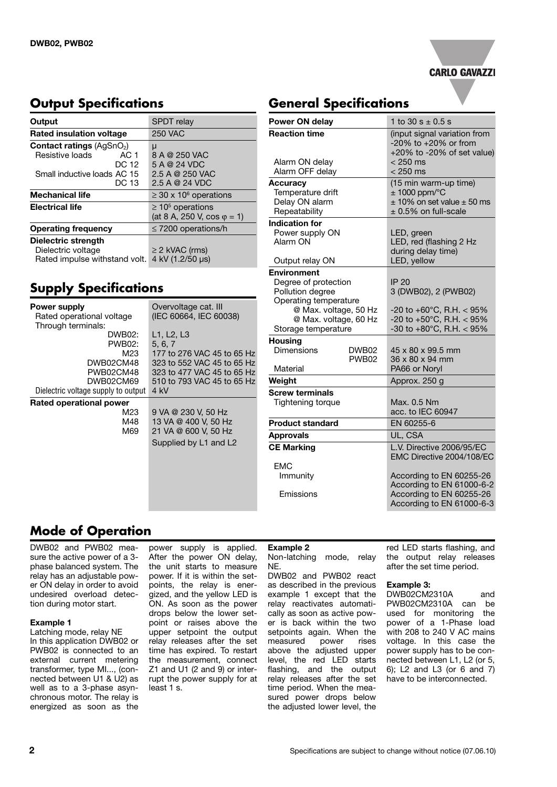

### **Output Specifications**

| Output                                     | SPDT relay                             |  |
|--------------------------------------------|----------------------------------------|--|
|                                            |                                        |  |
| <b>Rated insulation voltage</b>            | <b>250 VAC</b>                         |  |
| <b>Contact ratings (AgSnO<sub>2</sub>)</b> | μ                                      |  |
| Resistive loads<br>AC 1                    | 8 A @ 250 VAC                          |  |
| DC 12                                      | 5 A @ 24 VDC                           |  |
| Small inductive loads AC 15                | 2.5 A @ 250 VAC                        |  |
| DC 13                                      | 2.5 A @ 24 VDC                         |  |
| <b>Mechanical life</b>                     | $\geq$ 30 x 10 <sup>6</sup> operations |  |
| <b>Electrical life</b>                     | $\geq 10^5$ operations                 |  |
|                                            | (at 8 A, 250 V, cos $\varphi$ = 1)     |  |
| <b>Operating frequency</b>                 | $\leq$ 7200 operations/h               |  |
| Dielectric strength                        |                                        |  |
| Dielectric voltage                         | $\geq$ 2 kVAC (rms)                    |  |
| Rated impulse withstand volt.              | 4 kV (1.2/50 µs)                       |  |

# **Supply Specifications**

| <b>Power supply</b>                 | Overvoltage cat. Ill       |  |
|-------------------------------------|----------------------------|--|
| Rated operational voltage           | (IEC 60664, IEC 60038)     |  |
| Through terminals:                  |                            |  |
| DWB02:                              | L1, L2, L3                 |  |
| PWB02:                              | 5, 6, 7                    |  |
| M23                                 | 177 to 276 VAC 45 to 65 Hz |  |
| DWB02CM48                           | 323 to 552 VAC 45 to 65 Hz |  |
| PWB02CM48                           | 323 to 477 VAC 45 to 65 Hz |  |
| DWB02CM69                           | 510 to 793 VAC 45 to 65 Hz |  |
| Dielectric voltage supply to output | 4 kV                       |  |
| Rated operational power             |                            |  |
| M23                                 | 9 VA @ 230 V, 50 Hz        |  |
| M48                                 | 13 VA @ 400 V, 50 Hz       |  |
| M69                                 | 21 VA @ 600 V, 50 Hz       |  |
|                                     | Supplied by L1 and L2      |  |
|                                     |                            |  |
|                                     |                            |  |
|                                     |                            |  |
|                                     |                            |  |
|                                     |                            |  |

# **General Specifications**

| <b>Power ON delay</b>                                                   | 1 to 30 s $\pm$ 0.5 s                                                                                         |  |
|-------------------------------------------------------------------------|---------------------------------------------------------------------------------------------------------------|--|
| <b>Reaction time</b><br>Alarm ON delay                                  | (input signal variation from<br>$-20\%$ to $+20\%$ or from<br>$+20\%$ to -20% of set value)<br>$< 250$ ms     |  |
| Alarm OFF delay                                                         | $< 250$ ms                                                                                                    |  |
| <b>Accuracy</b><br>Temperature drift<br>Delay ON alarm<br>Repeatability | (15 min warm-up time)<br>$± 1000$ ppm/ $°C$<br>$\pm$ 10% on set value $\pm$ 50 ms<br>$\pm$ 0.5% on full-scale |  |
| <b>Indication for</b><br>Power supply ON<br>Alarm ON                    | LED, green<br>LED, red (flashing 2 Hz<br>during delay time)                                                   |  |
| Output relay ON<br><b>Environment</b>                                   | LED, yellow                                                                                                   |  |
| Degree of protection<br>Pollution degree<br>Operating temperature       | <b>IP 20</b><br>3 (DWB02), 2 (PWB02)                                                                          |  |
| @ Max. voltage, 50 Hz<br>@ Max. voltage, 60 Hz<br>Storage temperature   | -20 to +60 $^{\circ}$ C, R.H. < 95%<br>-20 to +50°C, R.H. < 95%<br>-30 to +80 $^{\circ}$ C, R.H. < 95%        |  |
| <b>Housing</b><br>Dimensions<br>DWB02<br>PWB <sub>02</sub>              | 45 x 80 x 99.5 mm<br>36 x 80 x 94 mm                                                                          |  |
| Material                                                                | PA66 or Noryl                                                                                                 |  |
| Weight                                                                  | Approx. 250 g                                                                                                 |  |
| <b>Screw terminals</b><br>Tightening torque                             | Max. 0.5 Nm<br>acc. to IEC 60947                                                                              |  |
| <b>Product standard</b>                                                 | EN 60255-6                                                                                                    |  |
| <b>Approvals</b>                                                        | UL. CSA                                                                                                       |  |
| <b>CE Marking</b>                                                       | L.V. Directive 2006/95/EC<br>EMC Directive 2004/108/EC                                                        |  |
| <b>EMC</b><br>Immunity                                                  | According to EN 60255-26<br>According to EN 61000-6-2                                                         |  |
| Emissions                                                               | According to EN 60255-26<br>According to EN 61000-6-3                                                         |  |

## **Mode of Operation**

DWB02 and PWB02 measure the active power of a 3 phase balanced system. The relay has an adjustable power ON delay in order to avoid undesired overload detection during motor start.

### **Example 1**

Latching mode, relay NE In this application DWB02 or PWB02 is connected to an external current metering transformer, type MI..., (connected between U1 & U2) as well as to a 3-phase asynchronous motor. The relay is energized as soon as the

power supply is applied. After the power ON delay, the unit starts to measure power. If it is within the setpoints, the relay is energized, and the yellow LED is ON. As soon as the power drops below the lower setpoint or raises above the upper setpoint the output relay releases after the set time has expired. To restart the measurement, connect Z1 and U1 (2 and 9) or interrupt the power supply for at least 1 s.

#### **Example 2** Non-latching mode, relay NE.

DWB02 and PWB02 react as described in the previous example 1 except that the relay reactivates automatically as soon as active power is back within the two setpoints again. When the measured power rises above the adjusted upper level, the red LED starts flashing, and the output relay releases after the set time period. When the measured power drops below the adjusted lower level, the

red LED starts flashing, and the output relay releases after the set time period.

#### **Example 3:**

DWB02CM2310A and PWB02CM2310A can be used for monitoring the power of a 1-Phase load with 208 to 240 V AC mains voltage. In this case the power supply has to be connected between L1, L2 (or 5, 6); L2 and L3 (or 6 and 7) have to be interconnected.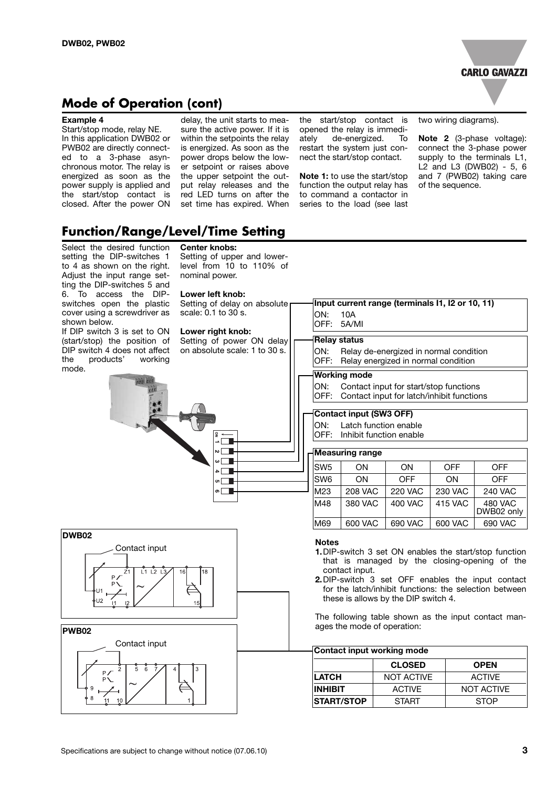

### **Mode of Operation (cont)**

#### **Example 4**

Start/stop mode, relay NE. In this application DWB02 or PWB02 are directly connected to a 3-phase asynchronous motor. The relay is energized as soon as the power supply is applied and the start/stop contact is closed. After the power ON delay, the unit starts to measure the active power. If it is within the setpoints the relay is energized. As soon as the power drops below the lower setpoint or raises above the upper setpoint the output relay releases and the red LED turns on after the set time has expired. When

the start/stop contact is opened the relay is immediately de-energized. To restart the system just connect the start/stop contact.

**Note 1:** to use the start/stop function the output relay has to command a contactor in series to the load (see last

two wiring diagrams).

**Note 2** (3-phase voltage): connect the 3-phase power supply to the terminals L1, L2 and L3 (DWB02) - 5, 6 and 7 (PWB02) taking care of the sequence.

### **Function/Range/Level/Time Setting**

#### Select the desired function setting the DIP-switches 1 to 4 as shown on the right. Adjust the input range setting the DIP-switches 5 and 6. To access the DIPswitches open the plastic cover using a screwdriver as shown below.

If DIP switch 3 is set to ON (start/stop) the position of DIP switch 4 does not affect the products' working mode.

**DWB02**

### **Center knobs:**

Setting of upper and lowerlevel from 10 to 110% of nominal power.

#### **Lower left knob:**

Setting of delay on absolute scale: 0.1 to 30 s. **Lower right knob:** Setting of power ON delay on absolute scale: 1 to 30 s. **Measuring range** SW5 | ON | ON | OFF | OFF SW6 | ON | OFF | ON | OFF M23 208 VAC 220 VAC 230 VAC 240 VAC M48 | 380 VAC | 400 VAC | 415 VAC | 480 VAC DWB02 only M69 600 VAC 690 VAC 600 VAC 690 VAC **Contact input (SW3 OFF)** ON: Latch function enable OFF: Inhibit function enable **Working mode** ON: Contact input for start/stop functions OFF: Contact input for latch/inhibit functions **Input current range (terminals I1, I2 or 10, 11)** ON: 10A OFF: 5A/MI **Relay status** ON: Relay de-energized in normal condition OFF: Relay energized in normal condition Contact input **Notes 1.**DIP-switch 3 set ON enables the start/stop function that is managed by the closing-opening of the contact input. **2.**DIP-switch 3 set OFF enables the input contact for the latch/inhibit functions: the selection between these is allows by the DIP switch 4.

The following table shown as the input contact manages the mode of operation:



### **Contact input working mode**

|                   | <b>CLOSED</b> | <b>OPEN</b>       |  |
|-------------------|---------------|-------------------|--|
| <b>LATCH</b>      | NOT ACTIVE    | <b>ACTIVE</b>     |  |
| <b>INHIBIT</b>    | <b>ACTIVE</b> | <b>NOT ACTIVE</b> |  |
| <b>START/STOP</b> | <b>START</b>  | <b>STOP</b>       |  |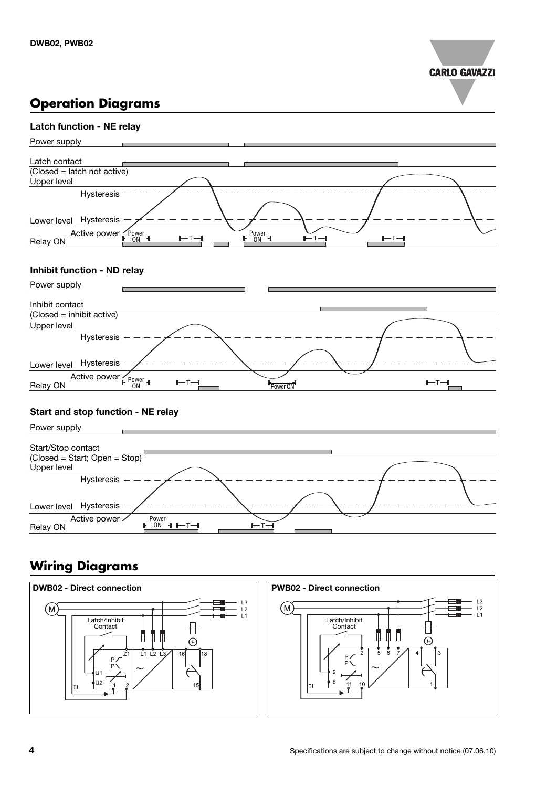

## **Operation Diagrams**



### **Inhibit function - ND relay**



### **Start and stop function - NE relay**



## **Wiring Diagrams**

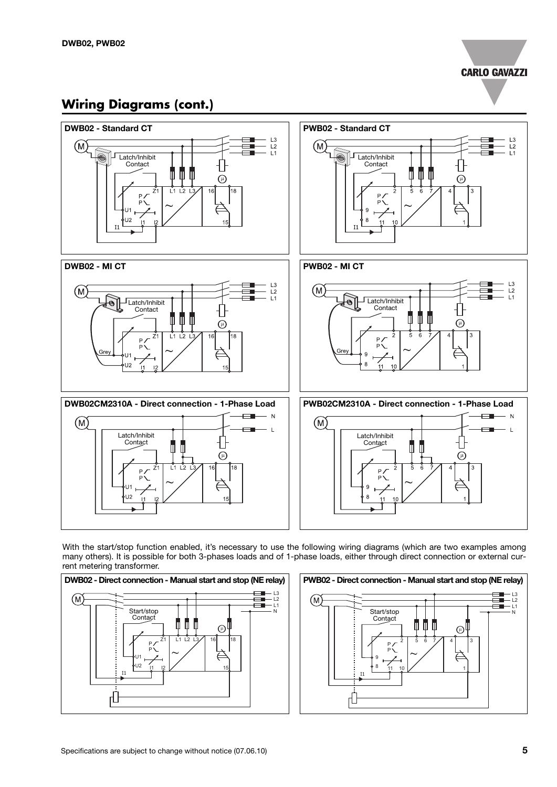

## **Wiring Diagrams (cont.)**



With the start/stop function enabled, it's necessary to use the following wiring diagrams (which are two examples among many others). It is possible for both 3-phases loads and of 1-phase loads, either through direct connection or external current metering transformer.